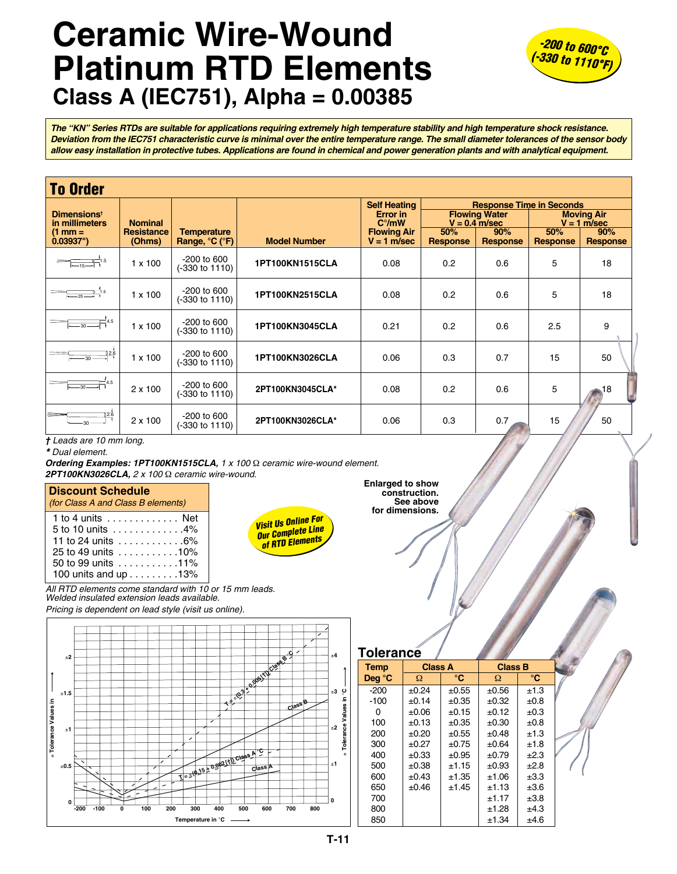## **Ceramic Wire-Wound Platinum RTD Elements Class A (IEC751), Alpha = 0.00385**



*The "KN" Series RTDs are suitable for applications requiring extremely high temperature stability and high temperature shock resistance. Deviation from the IEC751 characteristic curve is minimal over the entire temperature range. The small diameter tolerances of the sensor body allow easy installation in protective tubes. Applications are found in chemical and power generation plants and with analytical equipment.*

| <b>To Order</b>                                                                                                                                                                                                                                                                                           |                                     |                                            |                     |                                                                         |                                                                                          |                 |                                                  |                 |  |
|-----------------------------------------------------------------------------------------------------------------------------------------------------------------------------------------------------------------------------------------------------------------------------------------------------------|-------------------------------------|--------------------------------------------|---------------------|-------------------------------------------------------------------------|------------------------------------------------------------------------------------------|-----------------|--------------------------------------------------|-----------------|--|
| <b>Dimensions<sup>t</sup></b><br>in millimeters<br>$(1 \text{ mm} =$                                                                                                                                                                                                                                      | <b>Nominal</b><br><b>Resistance</b> | <b>Temperature</b>                         |                     | <b>Self Heating</b><br>Error in<br>$C^{\circ}/mW$<br><b>Flowing Air</b> | <b>Response Time in Seconds</b><br><b>Flowing Water</b><br>$V = 0.4$ m/sec<br>50%<br>90% |                 | <b>Moving Air</b><br>$V = 1$ m/sec<br>50%<br>90% |                 |  |
| $0.03937$ ")                                                                                                                                                                                                                                                                                              | (Ohms)                              | Range, °C (°F)                             | <b>Model Number</b> | $V = 1$ m/sec                                                           | <b>Response</b>                                                                          | <b>Response</b> | Response                                         | <b>Response</b> |  |
| $\frac{1}{2}$ = $\frac{1}{15}$ = $\frac{1}{1}$ = $\frac{1}{1}$ = $\frac{1}{1}$ = $\frac{1}{1}$ = $\frac{1}{1}$ = $\frac{1}{1}$ = $\frac{1}{1}$ = $\frac{1}{1}$ = $\frac{1}{1}$ = $\frac{1}{1}$ = $\frac{1}{1}$ = $\frac{1}{1}$ = $\frac{1}{1}$ = $\frac{1}{1}$ = $\frac{1}{1}$ = $\frac{1}{1}$ = $\frac{$ | $1 \times 100$                      | $-200$ to 600<br>$(-330 \text{ to } 1110)$ | 1PT100KN1515CLA     | 0.08                                                                    | 0.2                                                                                      | 0.6             | 5                                                | 18              |  |
| $\frac{1}{-25}$ $\frac{1}{1}^{1.5}$                                                                                                                                                                                                                                                                       | $1 \times 100$                      | $-200$ to 600<br>$(-330 \text{ to } 1110)$ | 1PT100KN2515CLA     | 0.08                                                                    | 0.2                                                                                      | 0.6             | 5                                                | 18              |  |
| $\equiv$ 4.5                                                                                                                                                                                                                                                                                              | $1 \times 100$                      | $-200$ to 600<br>(-330 to 1110)            | 1PT100KN3045CLA     | 0.21                                                                    | 0.2                                                                                      | 0.6             | 2.5                                              | 9               |  |
| 02.6<br>$-30-$                                                                                                                                                                                                                                                                                            | $1 \times 100$                      | $-200$ to 600<br>(-330 to 1110)            | 1PT100KN3026CLA     | 0.06                                                                    | 0.3                                                                                      | 0.7             | 15                                               | 50              |  |
| $30 -$                                                                                                                                                                                                                                                                                                    | $2 \times 100$                      | $-200$ to 600<br>(-330 to 1110)            | 2PT100KN3045CLA*    | 0.08                                                                    | 0.2                                                                                      | 0.6             | 5                                                | 18              |  |
|                                                                                                                                                                                                                                                                                                           | $2 \times 100$                      | $-200$ to 600<br>(-330 to 1110)            | 2PT100KN3026CLA*    | 0.06                                                                    | 0.3                                                                                      | 0.7             | 15                                               | 50              |  |

*† Leads are 10 mm long.* 

*\* Dual element.*

*Ordering Examples: 1PT100KN1515CLA, 1 x 100* Ω *ceramic wire-wound element. 2PT100KN3026CLA, 2 x 100* Ω *ceramic wire-wound.*

## **Discount Schedule**

| <i>(for Class A and Class B elements)</i>        |  |
|--------------------------------------------------|--|
| 1 to 4 units $\ldots$ , , , Net                  |  |
| 5 to 10 units 4%                                 |  |
| 11 to 24 units $\ldots \ldots \ldots \ldots 6\%$ |  |
| 25 to 49 units 10%                               |  |
| 50 to 99 units 11%                               |  |
| 100 units and up 13%                             |  |

*Visit Us Online For Our Complete Line of RTD Elements*

**for dimensions.**

**Enlarged to show construction. See above** 

*All RTD elements come standard with 10 or 15 mm leads. Welded insulated extension leads available. Pricing is dependent on lead style (visit us online).*



| <b>Tolerance</b> |                |                 |                |                 |  |
|------------------|----------------|-----------------|----------------|-----------------|--|
| Temp             | <b>Class A</b> |                 | <b>Class B</b> |                 |  |
| Deq $^{\circ}$ C | Ω              | $\rm ^{\circ}C$ | Ω              | $\rm ^{\circ}C$ |  |
| $-200$           | $\pm 0.24$     | $\pm 0.55$      | $\pm 0.56$     | ±1.3            |  |
| $-100$           | ±0.14          | $\pm 0.35$      | $\pm 0.32$     | $\pm 0.8$       |  |
| 0                | $\pm 0.06$     | ±0.15           | ±0.12          | ±0.3            |  |
| 100              | ±0.13          | $\pm 0.35$      | $\pm 0.30$     | ±0.8            |  |
| 200              | ±0.20          | $\pm 0.55$      | ±0.48          | ±1.3            |  |
| 300              | $\pm 0.27$     | $\pm 0.75$      | ±0.64          | ±1.8            |  |
| 400              | $\pm 0.33$     | $\pm 0.95$      | ±0.79          | ±2.3            |  |
| 500              | $\pm 0.38$     | ±1.15           | $\pm 0.93$     | ±2.8            |  |
| 600              | $\pm 0.43$     | ±1.35           | ±1.06          | ±3.3            |  |
| 650              | $\pm 0.46$     | ±1.45           | ±1.13          | ±3.6            |  |
| 700              |                |                 | ±1.17          | ±3.8            |  |
| 800              |                |                 | ±1.28          | ±4.3            |  |
| 850              |                |                 | ±1.34          | ±4.6            |  |